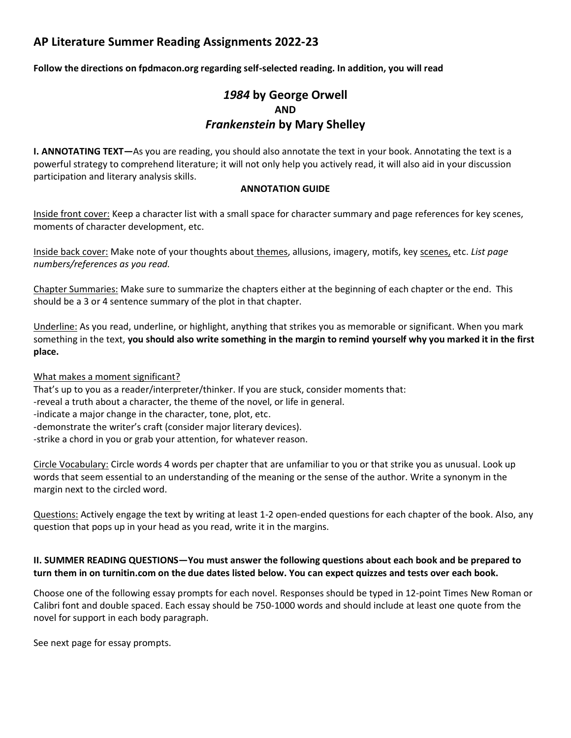# **AP Literature Summer Reading Assignments 2022-23**

**Follow the directions on fpdmacon.org regarding self-selected reading. In addition, you will read** 

# *1984* **by George Orwell AND** *Frankenstein* **by Mary Shelley**

**I. ANNOTATING TEXT—**As you are reading, you should also annotate the text in your book. Annotating the text is a powerful strategy to comprehend literature; it will not only help you actively read, it will also aid in your discussion participation and literary analysis skills.

#### **ANNOTATION GUIDE**

Inside front cover: Keep a character list with a small space for character summary and page references for key scenes, moments of character development, etc.

Inside back cover: Make note of your thoughts about themes, allusions, imagery, motifs, key scenes, etc. *List page numbers/references as you read.*

Chapter Summaries: Make sure to summarize the chapters either at the beginning of each chapter or the end. This should be a 3 or 4 sentence summary of the plot in that chapter.

Underline: As you read, underline, or highlight, anything that strikes you as memorable or significant. When you mark something in the text, **you should also write something in the margin to remind yourself why you marked it in the first place.** 

#### What makes a moment significant?

That's up to you as a reader/interpreter/thinker. If you are stuck, consider moments that: -reveal a truth about a character, the theme of the novel, or life in general. -indicate a major change in the character, tone, plot, etc. -demonstrate the writer's craft (consider major literary devices). -strike a chord in you or grab your attention, for whatever reason.

Circle Vocabulary: Circle words 4 words per chapter that are unfamiliar to you or that strike you as unusual. Look up words that seem essential to an understanding of the meaning or the sense of the author. Write a synonym in the margin next to the circled word.

Questions: Actively engage the text by writing at least 1-2 open-ended questions for each chapter of the book. Also, any question that pops up in your head as you read, write it in the margins.

### **II. SUMMER READING QUESTIONS—You must answer the following questions about each book and be prepared to turn them in on turnitin.com on the due dates listed below. You can expect quizzes and tests over each book.**

Choose one of the following essay prompts for each novel. Responses should be typed in 12-point Times New Roman or Calibri font and double spaced. Each essay should be 750-1000 words and should include at least one quote from the novel for support in each body paragraph.

See next page for essay prompts.